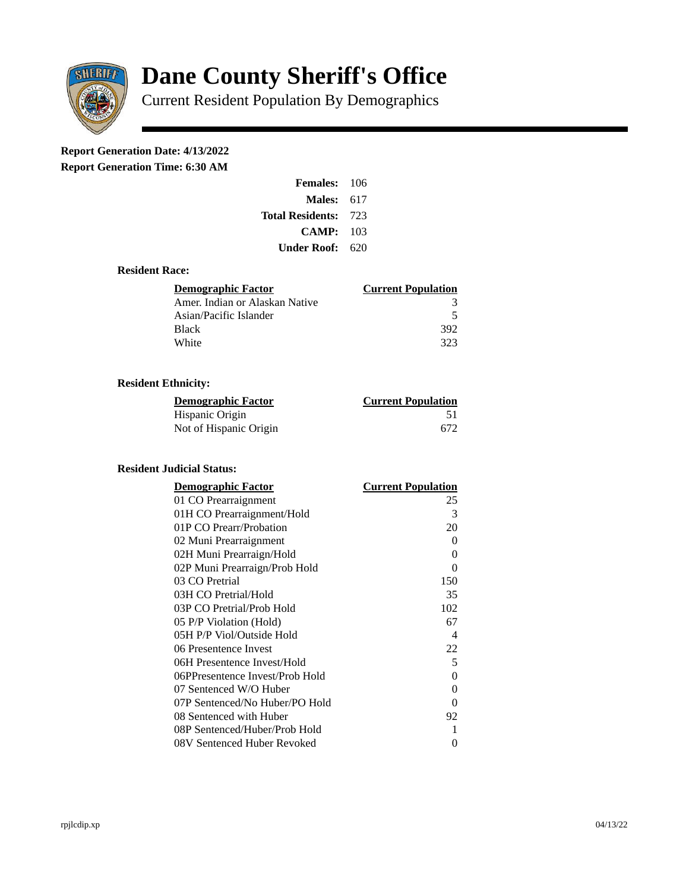

# **Dane County Sheriff's Office**

Current Resident Population By Demographics

# **Report Generation Date: 4/13/2022**

**Report Generation Time: 6:30 AM** 

| <b>Females: 106</b>     |       |
|-------------------------|-------|
| Males:                  | 617   |
| <b>Total Residents:</b> | - 723 |
| CAMP:                   | 103   |
| Under Roof: -           | 620   |

#### **Resident Race:**

| Demographic Factor             | <b>Current Population</b> |
|--------------------------------|---------------------------|
| Amer. Indian or Alaskan Native | 3                         |
| Asian/Pacific Islander         | 5                         |
| <b>Black</b>                   | 392                       |
| White                          | 323                       |

## **Resident Ethnicity:**

| <u>Demographic Factor</u> | <b>Current Population</b> |
|---------------------------|---------------------------|
| Hispanic Origin           | 51                        |
| Not of Hispanic Origin    | 672                       |

### **Resident Judicial Status:**

| <b>Demographic Factor</b>       | <b>Current Population</b>  |
|---------------------------------|----------------------------|
| 01 CO Prearraignment            | 25                         |
| 01H CO Prearraignment/Hold      | 3                          |
| 01P CO Prearr/Probation         | 20                         |
| 02 Muni Prearraignment          | 0                          |
| 02H Muni Prearraign/Hold        | 0                          |
| 02P Muni Prearraign/Prob Hold   | 0                          |
| 03 CO Pretrial                  | 150                        |
| 03H CO Pretrial/Hold            | 35                         |
| 03P CO Pretrial/Prob Hold       | 102                        |
| 05 P/P Violation (Hold)         | 67                         |
| 05H P/P Viol/Outside Hold       | $\boldsymbol{\mathcal{A}}$ |
| 06 Presentence Invest           | 22                         |
| 06H Presentence Invest/Hold     | 5                          |
| 06PPresentence Invest/Prob Hold | 0                          |
| 07 Sentenced W/O Huber          | 0                          |
| 07P Sentenced/No Huber/PO Hold  | 0                          |
| 08 Sentenced with Huber         | 92                         |
| 08P Sentenced/Huber/Prob Hold   | 1                          |
| 08V Sentenced Huber Revoked     | 0                          |